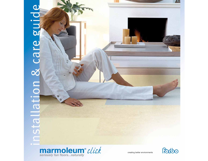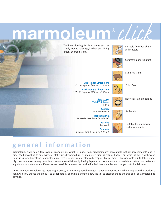# **moleum** ® CLLCK

The ideal flooring for living areas such as family rooms, hallways, kitchen and dining areas, bedrooms, etc.



Suitable for office chairs with castors



Cigarette mark resistant



Stain resistant

Color fast

**Click Panel Dimensions**  12" x 36" approx. (910mm x 300mm)

**Click Square Dimensions**  12" x 12" approx. (300mm x 300mm)

> **Structure: Total Thickness** 9.8mm



Bacteriostatic properties

**Surface** 2mm Marmoleum



Suitable for warm water underfloor heating

**Base Material** Aquasafe Base Panel Board (HDF) **Backing**

1mm cork **Contents** 7 panels for 20.56 sq. ft. (1.91m2)

# **general information**

Marmoleum click has a top layer of Marmoleum, which is made from predominantly harvestable natural raw materials and is processed according to an environmentally friendly procedure. Its main ingredient is natural linseed oil, which is mixed with wood flour, rosin and limestone. Marmoleum receives its color from ecologically responsible pigments. Pressed onto a jute fabric under high pressure, an extremely durable and environmentally friendly flooring is produced. As Marmoleum is made from natural raw materials, slight color and structural differences are possible between the production batches, samples and the goods to be delivered.

As Marmoleum completes its maturing process, a temporary variable natural phenomenon occurs which may give the product a yellowish tint. Expose the product to either natural or artificial light to allow the tint to disappear and the true color of Marmoleum to develop.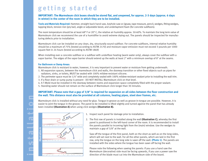# **getting started**

### **IMPORTANT: The Marmoleum click boxes should be stored flat, and unopened, for approx. 2-3 days (approx. 6 days in winter) in the center of the room in which they are to be installed.**

**Tools and Materials Required:** Hammer, straight back hand saw, keyhole saw or jigsaw, tape measure, pencil, wedges, fitting wedges, tapping block, tension iron (pry bar), angle or adjustable bevel, and underlayment foam (for concrete subfloors).

The room temperature should be at least 68° F or 20° C, the relative air humidity approx. 50-60%. To maintain the long term value of Marmoleum click we recommend the use of a humidifier to avoid extreme drying out. The panels should be inspected for manufacturing defects prior to installation.

Marmoleum click can be installed on any clean, dry, structurally sound subfloor. For concrete subfloors, internal relative humidity should be a maximum of 75% (tested according to ASTM 2170) and moisture vapor emission must not exceed 3 pounds per 1000 square feet in 24 hours (tested according to ASTM 1869)

When installing over a concrete subfloor or a subfloor with underfloor heating (warm water only), always cover the subfloor with a vapor barrier. The edges of the vapor barrier should extend up the walls at least 2" with a minimum overlap of 8" at the seams.

#### **For Bathroom or Damp Areas:**

Marmoleum click is resistant to water, however, it is very important to prevent water or moisture from getting underneath.

- 1. All expansion spaces, between the marmoleum click and walls, the doorway transition or other fixed objects such as pipes for radiators, sinks, or toilets, MUST be sealed with 100% mildew-resistant silicone.
- 2. The perimeter space must be 1/4" wide and completely sealed with 100% mildew-resistant sealant prior to installing the wall trim.
- 3. If a floor drain or sump pump is present DO NOT INSTALL Marmoleum click on that level.
- 4. A T-Mold must be installed in the doorway between rooms and expansion space completely filled with the proper sealant.
- 5. Standing water should not remain on the surface of Marmoleum click longer than 30 minutes.

### **IMPORTANT: Please note that a gap of 3/8" is required for expansion on all sides between the floor construction and the wall. This distance must also be provided at all columns, heating pipes, steel door frames, etc.**

Marmoleum click is installed without any need for glue. Tongue-in-groove as well as groove-in-tongue are possible. However, it is easier to joint the tongue in the groove. The panel to be installed is lifted slightly and turned against the panel that has already been installed **(Illustration A)** when using click wedges **(Illustration B).** 



nstallation

- 1. Inspect each panel for damage prior to installation.
- 2. The first row of panels is installed along the wall **(Illustration C)**, whereby the first panel is positioned in the left-hand corner of the room. It is recommended to install the panels parallel to incoming light from the (main) window. Use the wedges to maintain a gap of 3/8" at the wall.

Saw off the tongue of the first panel, both on the short as well as on the long sides, which will set next to the wall. For all the other panels, which are laid in the first row, only the tongue on the long side is sawn off the wall. **(Photo 1)**. The panels are installed with the sides where the tongue has been sawn off facing the wall.

Please note the following when sawing the panels: If you use a hand saw the Marmoleum (decorative) side must be facing upwards, if you use a power saw the direction of the blade must cut into the Marmoleum side of the board.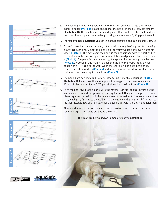











- 3. The second panel is now positioned with the short side neatly into the already installed panel **(Photo 2)**. Please ensure that the panels in the first row are straight **(Illustration D)**. This method is continued, panel after panel, over the whole width of the room. The last panel is cut to length, being sure to leave a 3/8" gap at the wall.
- 4. The fitting wedges **(Illustration E)** are then placed against the long side of panel 1 (row 1).
- 5. To begin installing the second row, cut a panel to a length of approx. 24". Leaving a 3/8" gap at the wall, place this panel on the fitting wedges and push it against Row 1 **(Photo 3)**. The next complete panel is then positioned with its short end fitted neatly into the previous panel with more fitting wedges also placed underneath it **(Photo 4)**. The panel is then pushed tightly against the previously installed row **(Photo 5)**. Proceed in this manner across the width of the room, fitting the last panel with a 3/8" gap at the wall. When the entire row has been positioned, remove the fitting wedges **(Photo 6)** and push the whole row downward so that it clicks into the previously installed row **(Photo 7)** .
- 6. The panels are now installed row after row according to this sequence **(Photo 8** , **Illustration F**). Please note that it is important to stagger the end joints a minimum of 12" and to leave a minimum 3/8" gap at all vertical obstructions. **(Photo 9)** .
- 7. To fit the final row, place a panel with the Marmoleum side facing upward on the last installed row and the groove side facing the wall. Using a spare piece of panel placed against the wall, mark the unevenness of the wall onto the panel and cut to size, leaving a 3/8" gap to the wall. Place the cut panel flat on the subfloor next to the last installed row and join together the long sides with the aid of a tension iron.

After installation of the last panels, base or quarter round molding is installed to cover the expansion joints all around the room.

### **The floor can be walked on immediately after installation.**

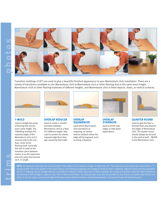

Transition moldings (3/8") are used to give a beautiful finished appearance to your Marmoleum click installation. There are a variety of transitions available to join Marmoleum click to Marmoleum click or other flooring that is the same exact height, Marmoleum click to other flooring materials of different heights, and Marmoleum click to fixed objects, stairs, or vertical surfaces.



#### **T-MOLD**

Used to bridge two areas of flooring that are the exact same height. The T-Molding overlaps the exposed edges of the Marmoleum click and is secured only to the sub floor, never to the flooring itself. Generally this trim is used as the transition piece between rooms, or as the expansion piece for areas that exceed 26 ft. in length.



**OVERLAP REDUCER** Used to create a smooth

transition between Marmoleum click to a floor of a different height. Also used to protect the planks exposed edge from damage caused by foot traffic.



**OVERLAP SQUARENOSE**

Used where Marmoleum click transitions to carpeting, or various vertical surfaces where the edge will be exposed, such as along a fireplace.



#### **OVERLAP STAIRNOSE**

Used to finish stair edges or step-down applications.



**QUARTER ROUND**

Used to give the floor a finished look and protects the edges of Marmoleum click. The quarter round should always be secured to the vertical wall – NEVER to the Marmoleum click.

**toolis, or as the expansion**<br>
26 **ft. in length.**<br> **NOTE:** An expansion joint also has to be provided if the surface to be covered is longer or wider than 26'. This expansion joint should be covered with a "T"<br>
shaped pro shaped profile. The same applies in the area of doors, connecting passageways and polygonal-shaped rooms. In general, adjacent rooms must be separated with a "T" molding. Use an overlap reducer to transition to adjacent, lower lying areas or floor coverings. An overlap end profile is ideal for clean finishes of the flooring in front of higher, adjacent sills, tiles or other raised floors. An adequate gap must also be provided at door frames or wooden door frames cut short. To do this, place a loose panel against the door frame with the linoleum side facing downward, and saw the frame off along the panel.